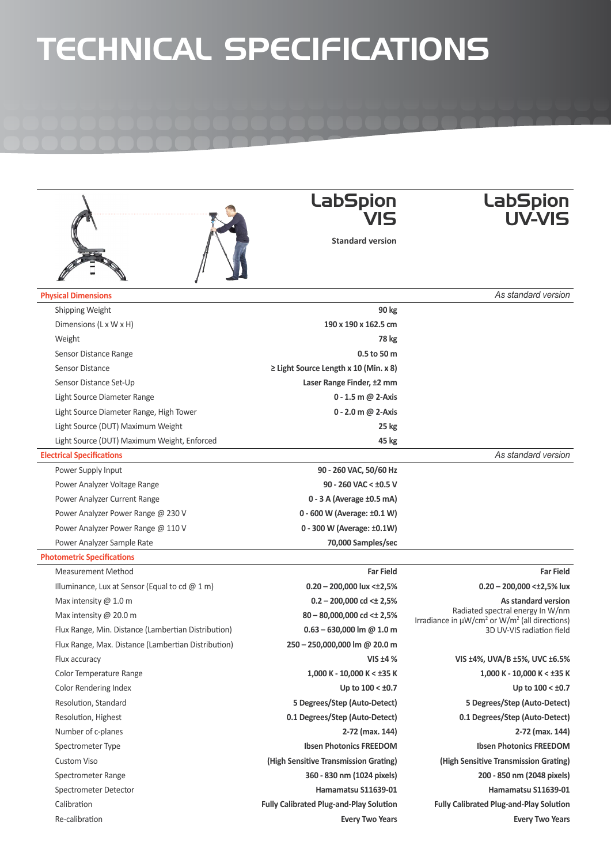## TECHNICAL SPECIFICATIONS

|                                                     | <b>LabSpion</b>                                | <b>LabSpion</b><br><b>UV-VIS</b>                                                                                                            |  |  |
|-----------------------------------------------------|------------------------------------------------|---------------------------------------------------------------------------------------------------------------------------------------------|--|--|
|                                                     | <b>Standard version</b>                        |                                                                                                                                             |  |  |
| <b>Physical Dimensions</b>                          |                                                | As standard version                                                                                                                         |  |  |
| Shipping Weight                                     | 90 kg                                          |                                                                                                                                             |  |  |
| Dimensions (L x W x H)                              | 190 x 190 x 162.5 cm                           |                                                                                                                                             |  |  |
| Weight                                              | 78 kg                                          |                                                                                                                                             |  |  |
| Sensor Distance Range                               | 0.5 to 50 m                                    |                                                                                                                                             |  |  |
| Sensor Distance                                     | $\geq$ Light Source Length x 10 (Min. x 8)     |                                                                                                                                             |  |  |
| Sensor Distance Set-Up                              | Laser Range Finder, ±2 mm                      |                                                                                                                                             |  |  |
| Light Source Diameter Range                         | 0 - 1.5 m @ 2-Axis                             |                                                                                                                                             |  |  |
| Light Source Diameter Range, High Tower             | 0 - 2.0 m @ 2-Axis                             |                                                                                                                                             |  |  |
| Light Source (DUT) Maximum Weight                   | 25 kg                                          |                                                                                                                                             |  |  |
| Light Source (DUT) Maximum Weight, Enforced         | 45 kg                                          |                                                                                                                                             |  |  |
| <b>Electrical Specifications</b>                    |                                                | As standard version                                                                                                                         |  |  |
| Power Supply Input                                  | 90 - 260 VAC, 50/60 Hz                         |                                                                                                                                             |  |  |
| Power Analyzer Voltage Range                        | 90 - 260 VAC < ±0.5 V                          |                                                                                                                                             |  |  |
| Power Analyzer Current Range                        | 0 - 3 A (Average ±0.5 mA)                      |                                                                                                                                             |  |  |
| Power Analyzer Power Range @ 230 V                  | 0 - 600 W (Average: ±0.1 W)                    |                                                                                                                                             |  |  |
| Power Analyzer Power Range @ 110 V                  | 0 - 300 W (Average: ±0.1W)                     |                                                                                                                                             |  |  |
| Power Analyzer Sample Rate                          | 70,000 Samples/sec                             |                                                                                                                                             |  |  |
| <b>Photometric Specifications</b>                   |                                                |                                                                                                                                             |  |  |
| <b>Measurement Method</b>                           | <b>Far Field</b>                               | <b>Far Field</b>                                                                                                                            |  |  |
| Illuminance, Lux at Sensor (Equal to cd $@1m$ )     | $0.20 - 200,000$ lux < $\pm 2,5\%$             | $0.20 - 200,000 < \pm 2,5\%$ lux                                                                                                            |  |  |
| Max intensity $@1.0 m$                              | $0.2 - 200,000$ cd < ± 2,5%                    | As standard version                                                                                                                         |  |  |
| Max intensity @ 20.0 m                              | $80 - 80,000,000$ cd $\leq \pm 2,5\%$          | Radiated spectral energy In W/nm<br>Irradiance in $\mu$ W/cm <sup>2</sup> or W/m <sup>2</sup> (all directions)<br>3D UV-VIS radiation field |  |  |
| Flux Range, Min. Distance (Lambertian Distribution) | $0.63 - 630,000$ lm @ 1.0 m                    |                                                                                                                                             |  |  |
| Flux Range, Max. Distance (Lambertian Distribution) | 250 - 250,000,000 lm @ 20.0 m                  |                                                                                                                                             |  |  |
| Flux accuracy                                       | VIS $±4%$                                      | VIS ±4%, UVA/B ±5%, UVC ±6.5%                                                                                                               |  |  |
| Color Temperature Range                             | 1,000 K - 10,000 K < ±35 K                     | $1,000$ K - 10,000 K < ±35 K                                                                                                                |  |  |
| Color Rendering Index                               | Up to $100 < \pm 0.7$                          | Up to $100 < \pm 0.7$                                                                                                                       |  |  |
| Resolution, Standard                                | 5 Degrees/Step (Auto-Detect)                   | 5 Degrees/Step (Auto-Detect)                                                                                                                |  |  |
| Resolution, Highest                                 | 0.1 Degrees/Step (Auto-Detect)                 | 0.1 Degrees/Step (Auto-Detect)                                                                                                              |  |  |
| Number of c-planes                                  | 2-72 (max. 144)                                | 2-72 (max. 144)                                                                                                                             |  |  |
| Spectrometer Type                                   | <b>Ibsen Photonics FREEDOM</b>                 | <b>Ibsen Photonics FREEDOM</b>                                                                                                              |  |  |
| <b>Custom Viso</b>                                  | (High Sensitive Transmission Grating)          | (High Sensitive Transmission Grating)                                                                                                       |  |  |
| Spectrometer Range                                  | 360 - 830 nm (1024 pixels)                     | 200 - 850 nm (2048 pixels)                                                                                                                  |  |  |
| Spectrometer Detector                               | Hamamatsu S11639-01                            | Hamamatsu S11639-01                                                                                                                         |  |  |
| Calibration                                         | <b>Fully Calibrated Plug-and-Play Solution</b> | <b>Fully Calibrated Plug-and-Play Solution</b>                                                                                              |  |  |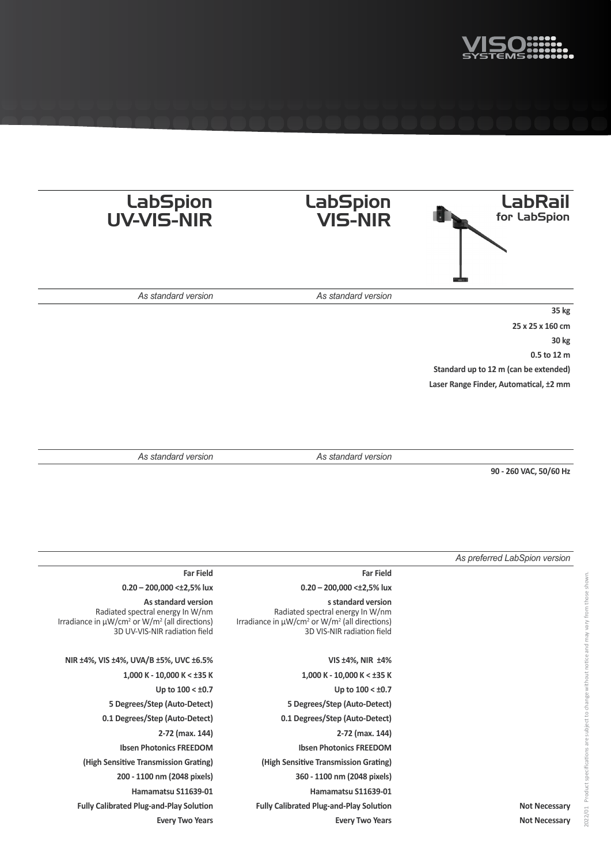

| <b>LabSpion</b><br><b>UV-VIS-NIR</b>                                                                                                                              | <b>LabSpion</b><br><b>VIS-NIR</b>                                                                                                                             | <b>LabRail</b><br>for LabSpion         |
|-------------------------------------------------------------------------------------------------------------------------------------------------------------------|---------------------------------------------------------------------------------------------------------------------------------------------------------------|----------------------------------------|
|                                                                                                                                                                   |                                                                                                                                                               |                                        |
| As standard version                                                                                                                                               | As standard version                                                                                                                                           |                                        |
|                                                                                                                                                                   |                                                                                                                                                               | 35 kg                                  |
|                                                                                                                                                                   |                                                                                                                                                               | 25 x 25 x 160 cm                       |
|                                                                                                                                                                   |                                                                                                                                                               | 30 kg                                  |
|                                                                                                                                                                   |                                                                                                                                                               | 0.5 to 12 m                            |
|                                                                                                                                                                   |                                                                                                                                                               | Standard up to 12 m (can be extended)  |
|                                                                                                                                                                   |                                                                                                                                                               | Laser Range Finder, Automatical, ±2 mm |
|                                                                                                                                                                   |                                                                                                                                                               |                                        |
|                                                                                                                                                                   |                                                                                                                                                               |                                        |
|                                                                                                                                                                   |                                                                                                                                                               |                                        |
| As standard version                                                                                                                                               | As standard version                                                                                                                                           |                                        |
|                                                                                                                                                                   |                                                                                                                                                               | 90 - 260 VAC, 50/60 Hz                 |
|                                                                                                                                                                   |                                                                                                                                                               |                                        |
|                                                                                                                                                                   |                                                                                                                                                               |                                        |
|                                                                                                                                                                   |                                                                                                                                                               |                                        |
|                                                                                                                                                                   |                                                                                                                                                               |                                        |
|                                                                                                                                                                   |                                                                                                                                                               |                                        |
|                                                                                                                                                                   |                                                                                                                                                               | As preferred LabSpion version          |
| <b>Far Field</b>                                                                                                                                                  | <b>Far Field</b>                                                                                                                                              |                                        |
| $0.20 - 200,000 < \pm 2,5\%$ lux                                                                                                                                  | $0.20 - 200,000 < \pm 2,5\%$ lux                                                                                                                              |                                        |
| As standard version<br>Radiated spectral energy In W/nm<br>Irradiance in µW/cm <sup>2</sup> or W/m <sup>2</sup> (all directions)<br>3D UV-VIS-NIR radiation field | s standard version<br>Radiated spectral energy In W/nm<br>Irradiance in µW/cm <sup>2</sup> or W/m <sup>2</sup> (all directions)<br>3D VIS-NIR radiation field |                                        |
|                                                                                                                                                                   |                                                                                                                                                               |                                        |
| NIR ±4%, VIS ±4%, UVA/B ±5%, UVC ±6.5%                                                                                                                            | VIS ±4%, NIR ±4%                                                                                                                                              |                                        |
| $1,000$ K - 10,000 K < ±35 K                                                                                                                                      | 1,000 K - 10,000 K < ±35 K                                                                                                                                    |                                        |
| Up to $100 < \pm 0.7$                                                                                                                                             | Up to $100 < \pm 0.7$                                                                                                                                         |                                        |
| 5 Degrees/Step (Auto-Detect)                                                                                                                                      | 5 Degrees/Step (Auto-Detect)                                                                                                                                  |                                        |
| 0.1 Degrees/Step (Auto-Detect)                                                                                                                                    | 0.1 Degrees/Step (Auto-Detect)                                                                                                                                |                                        |
| 2-72 (max. 144)                                                                                                                                                   | 2-72 (max. 144)                                                                                                                                               |                                        |
| <b>Ibsen Photonics FREEDOM</b>                                                                                                                                    | <b>Ibsen Photonics FREEDOM</b>                                                                                                                                |                                        |
| (High Sensitive Transmission Grating)                                                                                                                             | (High Sensitive Transmission Grating)                                                                                                                         |                                        |
| 200 - 1100 nm (2048 pixels)                                                                                                                                       | 360 - 1100 nm (2048 pixels)                                                                                                                                   |                                        |
| Hamamatsu S11639-01                                                                                                                                               | Hamamatsu S11639-01                                                                                                                                           |                                        |

**Fully Calibrated Plug-and-Play Solution Fully Calibrated Plug-and-Play Solution Not Necessary Every Two Years Every Two Years Not Necessary**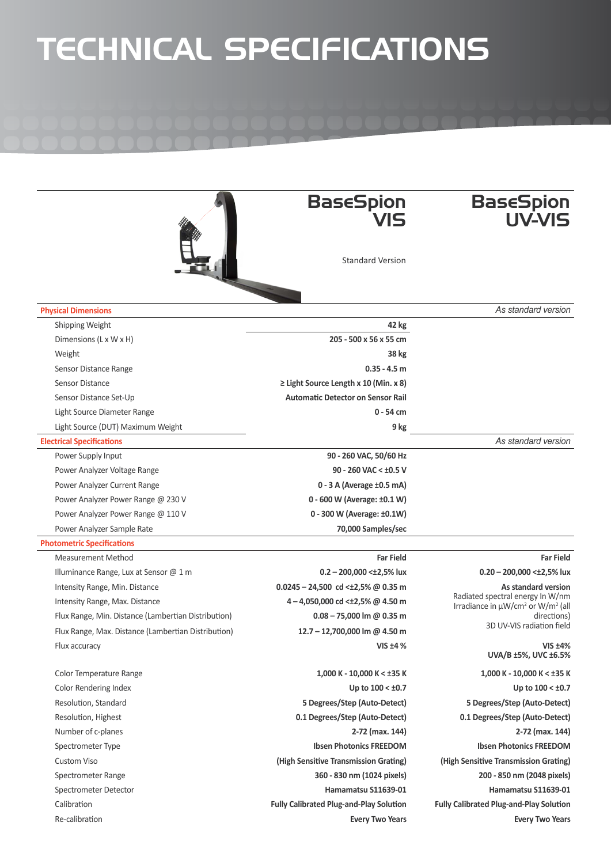## TECHNICAL SPECIFICATIONS

|                                                     | <b>BaseSpion</b><br>VIS                        | <b>BaseSpion</b><br>UV-VIS                                                                    |  |
|-----------------------------------------------------|------------------------------------------------|-----------------------------------------------------------------------------------------------|--|
|                                                     | <b>Standard Version</b>                        |                                                                                               |  |
| <b>Physical Dimensions</b>                          |                                                | As standard version                                                                           |  |
| Shipping Weight                                     | 42 kg                                          |                                                                                               |  |
| Dimensions (L x W x H)                              | 205 - 500 x 56 x 55 cm                         |                                                                                               |  |
| Weight                                              | 38 kg                                          |                                                                                               |  |
| Sensor Distance Range                               | $0.35 - 4.5$ m                                 |                                                                                               |  |
| Sensor Distance                                     | $\geq$ Light Source Length x 10 (Min. x 8)     |                                                                                               |  |
| Sensor Distance Set-Up                              | <b>Automatic Detector on Sensor Rail</b>       |                                                                                               |  |
| Light Source Diameter Range                         | $0 - 54$ cm                                    |                                                                                               |  |
| Light Source (DUT) Maximum Weight                   | 9 kg                                           |                                                                                               |  |
| <b>Electrical Specifications</b>                    |                                                | As standard version                                                                           |  |
| Power Supply Input                                  | 90 - 260 VAC, 50/60 Hz                         |                                                                                               |  |
| Power Analyzer Voltage Range                        | 90 - 260 VAC < $\pm$ 0.5 V                     |                                                                                               |  |
| Power Analyzer Current Range                        | 0 - 3 A (Average ±0.5 mA)                      |                                                                                               |  |
| Power Analyzer Power Range @ 230 V                  | 0 - 600 W (Average: ±0.1 W)                    |                                                                                               |  |
| Power Analyzer Power Range @ 110 V                  | 0 - 300 W (Average: ±0.1W)                     |                                                                                               |  |
| Power Analyzer Sample Rate                          | 70,000 Samples/sec                             |                                                                                               |  |
| <b>Photometric Specifications</b>                   |                                                |                                                                                               |  |
| <b>Measurement Method</b>                           | <b>Far Field</b>                               | <b>Far Field</b>                                                                              |  |
| Illuminance Range, Lux at Sensor @ 1 m              | $0.2 - 200,000 < \pm 2,5\%$ lux                | $0.20 - 200,000 < \pm 2,5\%$ lux                                                              |  |
| Intensity Range, Min. Distance                      | 0.0245 - 24,500 cd < $\pm$ 2,5% @ 0.35 m       | As standard version                                                                           |  |
| Intensity Range, Max. Distance                      | $4 - 4,050,000$ cd < 12,5% @ 4.50 m            | Radiated spectral energy In W/nm<br>Irradiance in µW/cm <sup>2</sup> or W/m <sup>2</sup> (all |  |
| Flux Range, Min. Distance (Lambertian Distribution) | $0.08 - 75,000$ lm @ 0.35 m                    | directions)<br>3D UV-VIS radiation field                                                      |  |
| Flux Range, Max. Distance (Lambertian Distribution) | 12.7 - 12,700,000 lm @ 4.50 m                  |                                                                                               |  |
| Flux accuracy                                       | VIS $±4%$                                      | $VIS \pm 4\%$<br>UVA/B ±5%, UVC ±6.5%                                                         |  |
| Color Temperature Range                             | 1,000 K - 10,000 K < ±35 K                     | 1,000 K - 10,000 K < ±35 K                                                                    |  |
| Color Rendering Index                               | Up to $100 < \pm 0.7$                          | Up to $100 < \pm 0.7$                                                                         |  |
| Resolution, Standard                                | 5 Degrees/Step (Auto-Detect)                   | 5 Degrees/Step (Auto-Detect)                                                                  |  |
| Resolution, Highest                                 | 0.1 Degrees/Step (Auto-Detect)                 | 0.1 Degrees/Step (Auto-Detect)                                                                |  |
| Number of c-planes                                  | 2-72 (max. 144)                                | 2-72 (max. 144)                                                                               |  |
| Spectrometer Type                                   | <b>Ibsen Photonics FREEDOM</b>                 | <b>Ibsen Photonics FREEDOM</b>                                                                |  |
| <b>Custom Viso</b>                                  | (High Sensitive Transmission Grating)          | (High Sensitive Transmission Grating)                                                         |  |
| Spectrometer Range                                  | 360 - 830 nm (1024 pixels)                     | 200 - 850 nm (2048 pixels)                                                                    |  |
| Spectrometer Detector                               | Hamamatsu S11639-01                            | Hamamatsu S11639-01                                                                           |  |
| Calibration                                         | <b>Fully Calibrated Plug-and-Play Solution</b> | <b>Fully Calibrated Plug-and-Play Solution</b>                                                |  |

Re-calibration **Every Two Years Every Two Years**